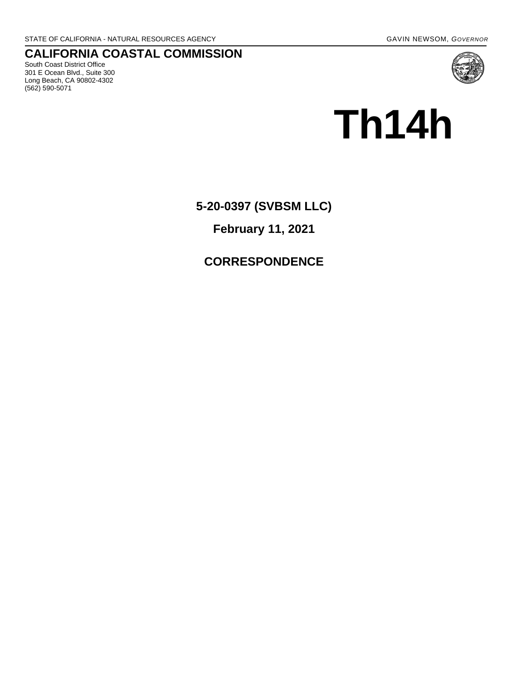**CALIFORNIA COASTAL COMMISSION** South Coast District Office 301 E Ocean Blvd., Suite 300 Long Beach, CA 90802-4302 (562) 590-5071



# **Th14h**

**5-20-0397 (SVBSM LLC)** 

**February 11, 2021** 

## **CORRESPONDENCE**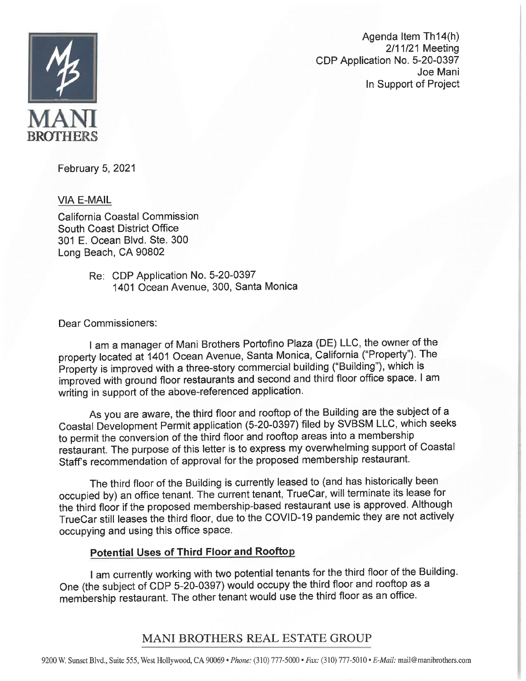

Agenda Item Th14(h) 2/11/21 Meeting CDP Application No. 5-20-0397 Joe Mani In Support of Project

February 5, 2021

**VIA E-MAIL** 

California Coastal Commission South Coast District Office 301 E. Ocean Blvd. Ste. 300 Long Beach, CA 90802

> Re: CDP Application No. 5-20-0397 1401 Ocean Avenue, 300, Santa Monica

Dear Commissioners:

I am a manager of Mani Brothers Portofino Plaza (DE) LLC, the owner of the property located at 1401 Ocean Avenue, Santa Monica, California ("Property"). The Property is improved with a three-story commercial building ("Building"), which is improved with ground floor restaurants and second and third floor office space. I am writing in support of the above-referenced application.

As you are aware, the third floor and rooftop of the Building are the subject of a Coastal Development Permit application (5-20-0397) filed by SVBSM LLC, which seeks to permit the conversion of the third floor and rooftop areas into a membership restaurant. The purpose of this letter is to express my overwhelming support of Coastal Staff's recommendation of approval for the proposed membership restaurant.

The third floor of the Building is currently leased to (and has historically been occupied by) an office tenant. The current tenant, TrueCar, will terminate its lease for the third floor if the proposed membership-based restaurant use is approved. Although TrueCar still leases the third floor, due to the COVID-19 pandemic they are not actively occupying and using this office space.

### **Potential Uses of Third Floor and Rooftop**

I am currently working with two potential tenants for the third floor of the Building. One (the subject of CDP 5-20-0397) would occupy the third floor and rooftop as a membership restaurant. The other tenant would use the third floor as an office.

## MANI BROTHERS REAL ESTATE GROUP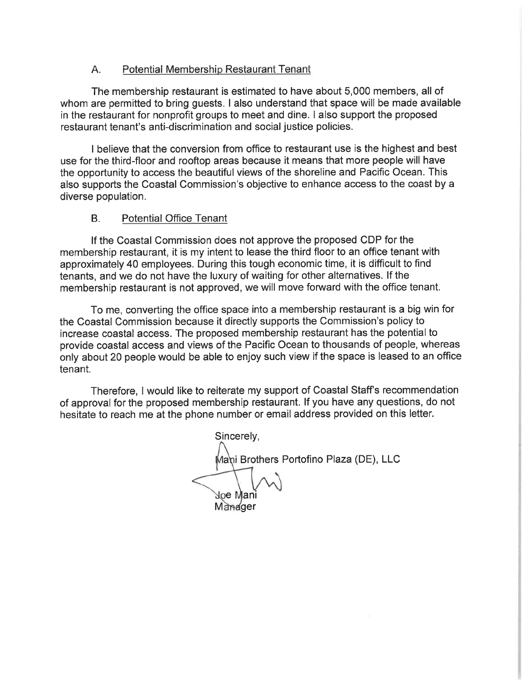#### $A_{1}$ Potential Membership Restaurant Tenant

The membership restaurant is estimated to have about 5,000 members. all of whom are permitted to bring guests. I also understand that space will be made available in the restaurant for nonprofit groups to meet and dine. I also support the proposed restaurant tenant's anti-discrimination and social justice policies.

I believe that the conversion from office to restaurant use is the highest and best use for the third-floor and rooftop areas because it means that more people will have the opportunity to access the beautiful views of the shoreline and Pacific Ocean. This also supports the Coastal Commission's objective to enhance access to the coast by a diverse population.

#### $B<sub>1</sub>$ **Potential Office Tenant**

If the Coastal Commission does not approve the proposed CDP for the membership restaurant, it is my intent to lease the third floor to an office tenant with approximately 40 employees. During this tough economic time, it is difficult to find tenants, and we do not have the luxury of waiting for other alternatives. If the membership restaurant is not approved, we will move forward with the office tenant.

To me, converting the office space into a membership restaurant is a big win for the Coastal Commission because it directly supports the Commission's policy to increase coastal access. The proposed membership restaurant has the potential to provide coastal access and views of the Pacific Ocean to thousands of people, whereas only about 20 people would be able to enjoy such view if the space is leased to an office tenant.

Therefore, I would like to reiterate my support of Coastal Staff's recommendation of approval for the proposed membership restaurant. If you have any questions, do not hesitate to reach me at the phone number or email address provided on this letter.

Sincerely, Mani Brothers Portofino Plaza (DE), LLC Joe Mani Manager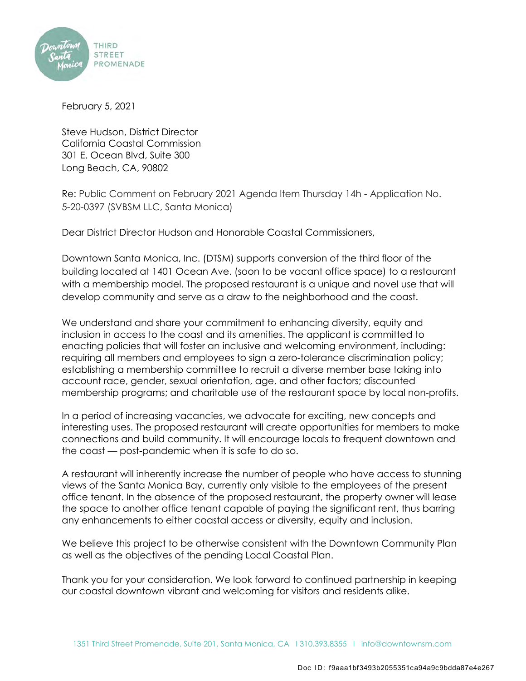

February 5, 2021

Steve Hudson, District Director California Coastal Commission 301 E. Ocean Blvd, Suite 300 Long Beach, CA, 90802

Re: Public Comment on February 2021 Agenda Item Thursday 14h - Application No. 5-20-0397 (SVBSM LLC, Santa Monica)

Dear District Director Hudson and Honorable Coastal Commissioners,

Downtown Santa Monica, Inc. (DTSM) supports conversion of the third floor of the building located at 1401 Ocean Ave. (soon to be vacant office space) to a restaurant with a membership model. The proposed restaurant is a unique and novel use that will develop community and serve as a draw to the neighborhood and the coast.

We understand and share your commitment to enhancing diversity, equity and inclusion in access to the coast and its amenities. The applicant is committed to enacting policies that will foster an inclusive and welcoming environment, including: requiring all members and employees to sign a zero-tolerance discrimination policy; establishing a membership committee to recruit a diverse member base taking into account race, gender, sexual orientation, age, and other factors; discounted membership programs; and charitable use of the restaurant space by local non-profits.

In a period of increasing vacancies, we advocate for exciting, new concepts and interesting uses. The proposed restaurant will create opportunities for members to make connections and build community. It will encourage locals to frequent downtown and the coast — post-pandemic when it is safe to do so.

A restaurant will inherently increase the number of people who have access to stunning views of the Santa Monica Bay, currently only visible to the employees of the present office tenant. In the absence of the proposed restaurant, the property owner will lease the space to another office tenant capable of paying the significant rent, thus barring any enhancements to either coastal access or diversity, equity and inclusion.

We believe this project to be otherwise consistent with the Downtown Community Plan as well as the objectives of the pending Local Coastal Plan.

Thank you for your consideration. We look forward to continued partnership in keeping our coastal downtown vibrant and welcoming for visitors and residents alike.